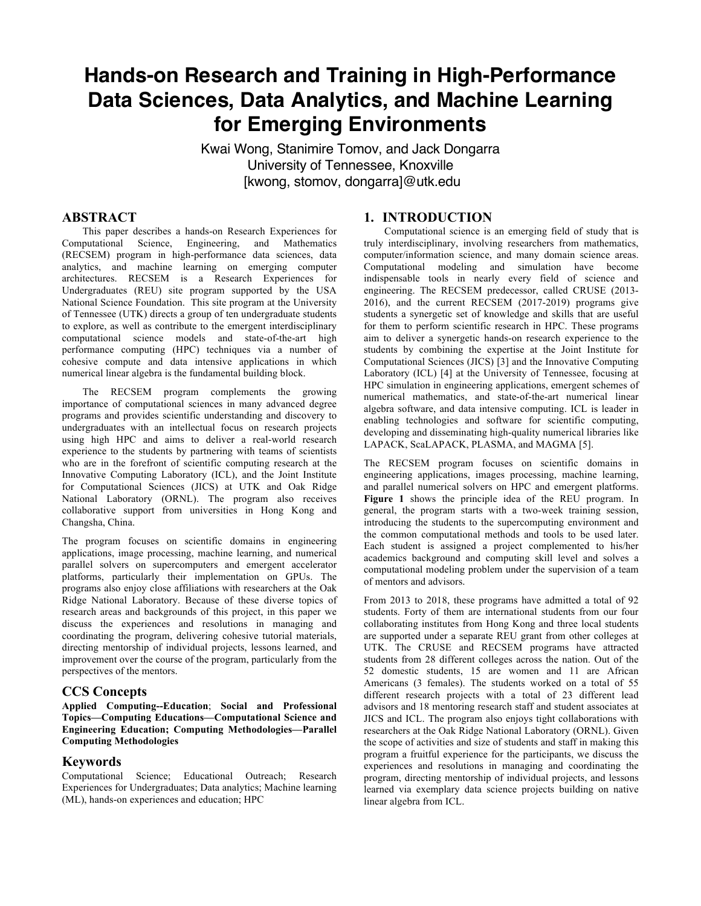# **Hands-on Research and Training in High-Performance Data Sciences, Data Analytics, and Machine Learning for Emerging Environments**

Kwai Wong, Stanimire Tomov, and Jack Dongarra University of Tennessee, Knoxville [kwong, stomov, dongarra]@utk.edu

## **ABSTRACT**

This paper describes a hands-on Research Experiences for Computational Science, Engineering, and Mathematics (RECSEM) program in high-performance data sciences, data analytics, and machine learning on emerging computer architectures. RECSEM is a Research Experiences for Undergraduates (REU) site program supported by the USA National Science Foundation. This site program at the University of Tennessee (UTK) directs a group of ten undergraduate students to explore, as well as contribute to the emergent interdisciplinary computational science models and state-of-the-art high performance computing (HPC) techniques via a number of cohesive compute and data intensive applications in which numerical linear algebra is the fundamental building block.

The RECSEM program complements the growing importance of computational sciences in many advanced degree programs and provides scientific understanding and discovery to undergraduates with an intellectual focus on research projects using high HPC and aims to deliver a real-world research experience to the students by partnering with teams of scientists who are in the forefront of scientific computing research at the Innovative Computing Laboratory (ICL), and the Joint Institute for Computational Sciences (JICS) at UTK and Oak Ridge National Laboratory (ORNL). The program also receives collaborative support from universities in Hong Kong and Changsha, China.

The program focuses on scientific domains in engineering applications, image processing, machine learning, and numerical parallel solvers on supercomputers and emergent accelerator platforms, particularly their implementation on GPUs. The programs also enjoy close affiliations with researchers at the Oak Ridge National Laboratory. Because of these diverse topics of research areas and backgrounds of this project, in this paper we discuss the experiences and resolutions in managing and coordinating the program, delivering cohesive tutorial materials, directing mentorship of individual projects, lessons learned, and improvement over the course of the program, particularly from the perspectives of the mentors.

## **CCS Concepts**

**Applied Computing--Education**; **Social and Professional Topics—Computing Educations—Computational Science and Engineering Education; Computing Methodologies—Parallel Computing Methodologies**

## **Keywords**

Computational Science; Educational Outreach; Research Experiences for Undergraduates; Data analytics; Machine learning (ML), hands-on experiences and education; HPC

## **1. INTRODUCTION**

Computational science is an emerging field of study that is truly interdisciplinary, involving researchers from mathematics, computer/information science, and many domain science areas. Computational modeling and simulation have become indispensable tools in nearly every field of science and engineering. The RECSEM predecessor, called CRUSE (2013- 2016), and the current RECSEM (2017-2019) programs give students a synergetic set of knowledge and skills that are useful for them to perform scientific research in HPC. These programs aim to deliver a synergetic hands-on research experience to the students by combining the expertise at the Joint Institute for Computational Sciences (JICS) [3] and the Innovative Computing Laboratory (ICL) [4] at the University of Tennessee, focusing at HPC simulation in engineering applications, emergent schemes of numerical mathematics, and state-of-the-art numerical linear algebra software, and data intensive computing. ICL is leader in enabling technologies and software for scientific computing, developing and disseminating high-quality numerical libraries like LAPACK, ScaLAPACK, PLASMA, and MAGMA [5].

The RECSEM program focuses on scientific domains in engineering applications, images processing, machine learning, and parallel numerical solvers on HPC and emergent platforms. **Figure 1** shows the principle idea of the REU program. In general, the program starts with a two-week training session, introducing the students to the supercomputing environment and the common computational methods and tools to be used later. Each student is assigned a project complemented to his/her academics background and computing skill level and solves a computational modeling problem under the supervision of a team of mentors and advisors.

From 2013 to 2018, these programs have admitted a total of 92 students. Forty of them are international students from our four collaborating institutes from Hong Kong and three local students are supported under a separate REU grant from other colleges at UTK. The CRUSE and RECSEM programs have attracted students from 28 different colleges across the nation. Out of the 52 domestic students, 15 are women and 11 are African Americans (3 females). The students worked on a total of 55 different research projects with a total of 23 different lead advisors and 18 mentoring research staff and student associates at JICS and ICL. The program also enjoys tight collaborations with researchers at the Oak Ridge National Laboratory (ORNL). Given the scope of activities and size of students and staff in making this program a fruitful experience for the participants, we discuss the experiences and resolutions in managing and coordinating the program, directing mentorship of individual projects, and lessons learned via exemplary data science projects building on native linear algebra from ICL.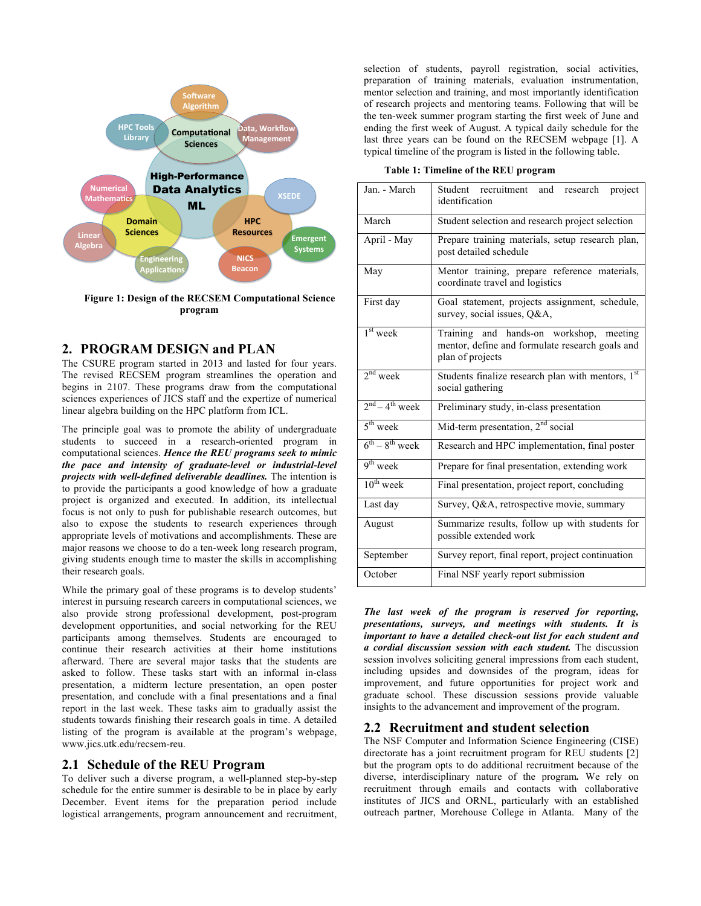

**Figure 1: Design of the RECSEM Computational Science program**

## **2. PROGRAM DESIGN and PLAN**

The CSURE program started in 2013 and lasted for four years. The revised RECSEM program streamlines the operation and begins in 2107. These programs draw from the computational sciences experiences of JICS staff and the expertize of numerical linear algebra building on the HPC platform from ICL.

The principle goal was to promote the ability of undergraduate students to succeed in a research-oriented program in computational sciences. *Hence the REU programs seek to mimic the pace and intensity of graduate-level or industrial-level projects with well-defined deliverable deadlines.* The intention is to provide the participants a good knowledge of how a graduate project is organized and executed. In addition, its intellectual focus is not only to push for publishable research outcomes, but also to expose the students to research experiences through appropriate levels of motivations and accomplishments. These are major reasons we choose to do a ten-week long research program, giving students enough time to master the skills in accomplishing their research goals.

While the primary goal of these programs is to develop students' interest in pursuing research careers in computational sciences, we also provide strong professional development, post-program development opportunities, and social networking for the REU participants among themselves. Students are encouraged to continue their research activities at their home institutions afterward. There are several major tasks that the students are asked to follow. These tasks start with an informal in-class presentation, a midterm lecture presentation, an open poster presentation, and conclude with a final presentations and a final report in the last week. These tasks aim to gradually assist the students towards finishing their research goals in time. A detailed listing of the program is available at the program's webpage, www.jics.utk.edu/recsem-reu.

## **2.1 Schedule of the REU Program**

To deliver such a diverse program, a well-planned step-by-step schedule for the entire summer is desirable to be in place by early December. Event items for the preparation period include logistical arrangements, program announcement and recruitment,

selection of students, payroll registration, social activities, preparation of training materials, evaluation instrumentation, mentor selection and training, and most importantly identification of research projects and mentoring teams. Following that will be the ten-week summer program starting the first week of June and ending the first week of August. A typical daily schedule for the last three years can be found on the RECSEM webpage [1]. A typical timeline of the program is listed in the following table.

| Table 1: Timeline of the REU program |  |  |  |  |  |
|--------------------------------------|--|--|--|--|--|
|--------------------------------------|--|--|--|--|--|

| Jan. - March           | Student recruitment and<br>research project<br>identification                                                  |  |  |  |  |
|------------------------|----------------------------------------------------------------------------------------------------------------|--|--|--|--|
| March                  | Student selection and research project selection                                                               |  |  |  |  |
| April - May            | Prepare training materials, setup research plan,<br>post detailed schedule                                     |  |  |  |  |
| May                    | Mentor training, prepare reference materials,<br>coordinate travel and logistics                               |  |  |  |  |
| First day              | Goal statement, projects assignment, schedule,<br>survey, social issues, Q&A,                                  |  |  |  |  |
| $1st$ week             | Training and hands-on workshop, meeting<br>mentor, define and formulate research goals and<br>plan of projects |  |  |  |  |
| $2nd$ week             | Students finalize research plan with mentors, 1st<br>social gathering                                          |  |  |  |  |
| $2nd - 4th$ week       | Preliminary study, in-class presentation                                                                       |  |  |  |  |
| $5th$ week             | Mid-term presentation, $2nd$ social                                                                            |  |  |  |  |
| $6^{th} - 8^{th}$ week | Research and HPC implementation, final poster                                                                  |  |  |  |  |
| $9th$ week             | Prepare for final presentation, extending work                                                                 |  |  |  |  |
| $10^{th}$ week         | Final presentation, project report, concluding                                                                 |  |  |  |  |
| Last day               | Survey, Q&A, retrospective movie, summary                                                                      |  |  |  |  |
| August                 | Summarize results, follow up with students for<br>possible extended work                                       |  |  |  |  |
| September              | Survey report, final report, project continuation                                                              |  |  |  |  |
| October                | Final NSF yearly report submission                                                                             |  |  |  |  |

*The last week of the program is reserved for reporting, presentations, surveys, and meetings with students. It is important to have a detailed check-out list for each student and a cordial discussion session with each student.* The discussion session involves soliciting general impressions from each student, including upsides and downsides of the program, ideas for improvement, and future opportunities for project work and graduate school. These discussion sessions provide valuable insights to the advancement and improvement of the program.

## **2.2 Recruitment and student selection**

The NSF Computer and Information Science Engineering (CISE) directorate has a joint recruitment program for REU students [2] but the program opts to do additional recruitment because of the diverse, interdisciplinary nature of the program*.* We rely on recruitment through emails and contacts with collaborative institutes of JICS and ORNL, particularly with an established outreach partner, Morehouse College in Atlanta. Many of the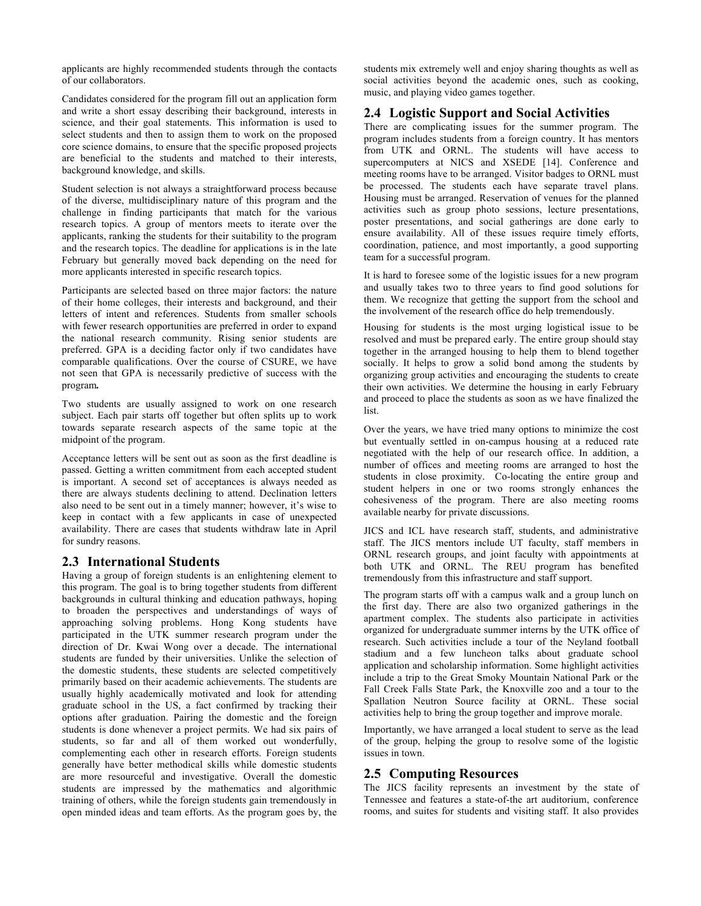applicants are highly recommended students through the contacts of our collaborators.

Candidates considered for the program fill out an application form and write a short essay describing their background, interests in science, and their goal statements. This information is used to select students and then to assign them to work on the proposed core science domains, to ensure that the specific proposed projects are beneficial to the students and matched to their interests, background knowledge, and skills.

Student selection is not always a straightforward process because of the diverse, multidisciplinary nature of this program and the challenge in finding participants that match for the various research topics. A group of mentors meets to iterate over the applicants, ranking the students for their suitability to the program and the research topics. The deadline for applications is in the late February but generally moved back depending on the need for more applicants interested in specific research topics.

Participants are selected based on three major factors: the nature of their home colleges, their interests and background, and their letters of intent and references. Students from smaller schools with fewer research opportunities are preferred in order to expand the national research community. Rising senior students are preferred. GPA is a deciding factor only if two candidates have comparable qualifications. Over the course of CSURE, we have not seen that GPA is necessarily predictive of success with the program*.* 

Two students are usually assigned to work on one research subject. Each pair starts off together but often splits up to work towards separate research aspects of the same topic at the midpoint of the program.

Acceptance letters will be sent out as soon as the first deadline is passed. Getting a written commitment from each accepted student is important. A second set of acceptances is always needed as there are always students declining to attend. Declination letters also need to be sent out in a timely manner; however, it's wise to keep in contact with a few applicants in case of unexpected availability. There are cases that students withdraw late in April for sundry reasons.

## **2.3 International Students**

Having a group of foreign students is an enlightening element to this program. The goal is to bring together students from different backgrounds in cultural thinking and education pathways, hoping to broaden the perspectives and understandings of ways of approaching solving problems. Hong Kong students have participated in the UTK summer research program under the direction of Dr. Kwai Wong over a decade. The international students are funded by their universities. Unlike the selection of the domestic students, these students are selected competitively primarily based on their academic achievements. The students are usually highly academically motivated and look for attending graduate school in the US, a fact confirmed by tracking their options after graduation. Pairing the domestic and the foreign students is done whenever a project permits. We had six pairs of students, so far and all of them worked out wonderfully, complementing each other in research efforts. Foreign students generally have better methodical skills while domestic students are more resourceful and investigative. Overall the domestic students are impressed by the mathematics and algorithmic training of others, while the foreign students gain tremendously in open minded ideas and team efforts. As the program goes by, the

students mix extremely well and enjoy sharing thoughts as well as social activities beyond the academic ones, such as cooking, music, and playing video games together.

## **2.4 Logistic Support and Social Activities**

There are complicating issues for the summer program. The program includes students from a foreign country. It has mentors from UTK and ORNL. The students will have access to supercomputers at NICS and XSEDE [14]. Conference and meeting rooms have to be arranged. Visitor badges to ORNL must be processed. The students each have separate travel plans. Housing must be arranged. Reservation of venues for the planned activities such as group photo sessions, lecture presentations, poster presentations, and social gatherings are done early to ensure availability. All of these issues require timely efforts, coordination, patience, and most importantly, a good supporting team for a successful program.

It is hard to foresee some of the logistic issues for a new program and usually takes two to three years to find good solutions for them. We recognize that getting the support from the school and the involvement of the research office do help tremendously.

Housing for students is the most urging logistical issue to be resolved and must be prepared early. The entire group should stay together in the arranged housing to help them to blend together socially. It helps to grow a solid bond among the students by organizing group activities and encouraging the students to create their own activities. We determine the housing in early February and proceed to place the students as soon as we have finalized the list.

Over the years, we have tried many options to minimize the cost but eventually settled in on-campus housing at a reduced rate negotiated with the help of our research office. In addition, a number of offices and meeting rooms are arranged to host the students in close proximity. Co-locating the entire group and student helpers in one or two rooms strongly enhances the cohesiveness of the program. There are also meeting rooms available nearby for private discussions.

JICS and ICL have research staff, students, and administrative staff. The JICS mentors include UT faculty, staff members in ORNL research groups, and joint faculty with appointments at both UTK and ORNL. The REU program has benefited tremendously from this infrastructure and staff support.

The program starts off with a campus walk and a group lunch on the first day. There are also two organized gatherings in the apartment complex. The students also participate in activities organized for undergraduate summer interns by the UTK office of research. Such activities include a tour of the Neyland football stadium and a few luncheon talks about graduate school application and scholarship information. Some highlight activities include a trip to the Great Smoky Mountain National Park or the Fall Creek Falls State Park, the Knoxville zoo and a tour to the Spallation Neutron Source facility at ORNL. These social activities help to bring the group together and improve morale.

Importantly, we have arranged a local student to serve as the lead of the group, helping the group to resolve some of the logistic issues in town.

## **2.5 Computing Resources**

The JICS facility represents an investment by the state of Tennessee and features a state-of-the art auditorium, conference rooms, and suites for students and visiting staff. It also provides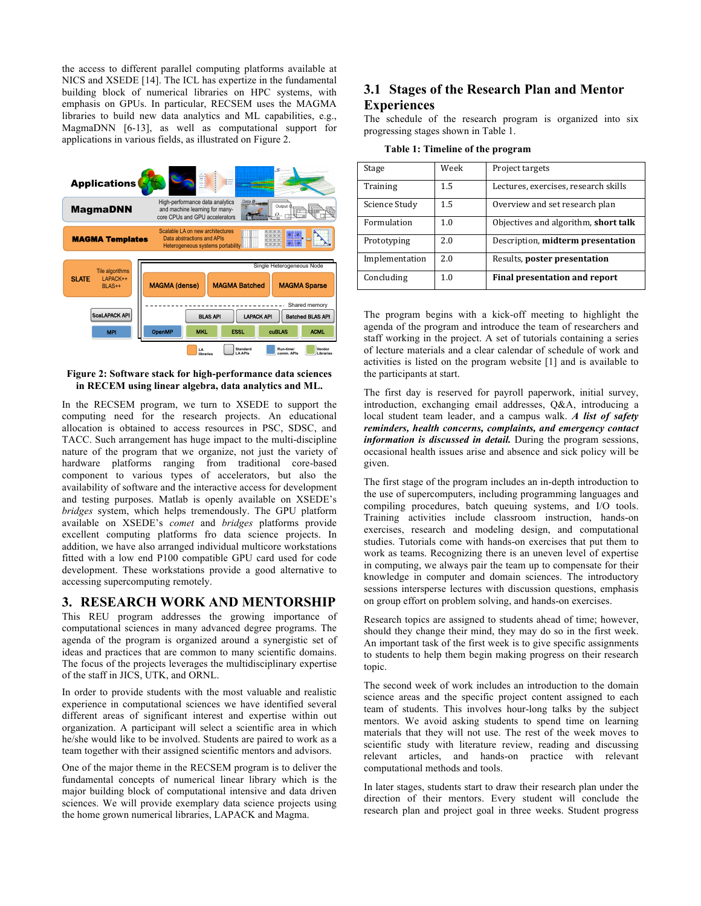the access to different parallel computing platforms available at NICS and XSEDE [14]. The ICL has expertize in the fundamental building block of numerical libraries on HPC systems, with emphasis on GPUs. In particular, RECSEM uses the MAGMA libraries to build new data analytics and ML capabilities, e.g., MagmaDNN [6-13], as well as computational support for applications in various fields, as illustrated on Figure 2.



#### **Figure 2: Software stack for high-performance data sciences in RECEM using linear algebra, data analytics and ML.**

In the RECSEM program, we turn to XSEDE to support the computing need for the research projects. An educational allocation is obtained to access resources in PSC, SDSC, and TACC. Such arrangement has huge impact to the multi-discipline nature of the program that we organize, not just the variety of hardware platforms ranging from traditional core-based component to various types of accelerators, but also the availability of software and the interactive access for development and testing purposes. Matlab is openly available on XSEDE's *bridges* system, which helps tremendously. The GPU platform available on XSEDE's *comet* and *bridges* platforms provide excellent computing platforms fro data science projects. In addition, we have also arranged individual multicore workstations fitted with a low end P100 compatible GPU card used for code development. These workstations provide a good alternative to accessing supercomputing remotely.

## **3. RESEARCH WORK AND MENTORSHIP**

This REU program addresses the growing importance of computational sciences in many advanced degree programs. The agenda of the program is organized around a synergistic set of ideas and practices that are common to many scientific domains. The focus of the projects leverages the multidisciplinary expertise of the staff in JICS, UTK, and ORNL.

In order to provide students with the most valuable and realistic experience in computational sciences we have identified several different areas of significant interest and expertise within out organization. A participant will select a scientific area in which he/she would like to be involved. Students are paired to work as a team together with their assigned scientific mentors and advisors.

One of the major theme in the RECSEM program is to deliver the fundamental concepts of numerical linear library which is the major building block of computational intensive and data driven sciences. We will provide exemplary data science projects using the home grown numerical libraries, LAPACK and Magma.

# **3.1 Stages of the Research Plan and Mentor Experiences**

The schedule of the research program is organized into six progressing stages shown in Table 1.

**Table 1: Timeline of the program**

| Stage          | Week | Project targets                      |
|----------------|------|--------------------------------------|
| Training       | 1.5  | Lectures, exercises, research skills |
| Science Study  | 1.5  | Overview and set research plan       |
| Formulation    | 1.0  | Objectives and algorithm, short talk |
| Prototyping    | 2.0  | Description, midterm presentation    |
| Implementation | 2.0  | Results, poster presentation         |
| Concluding     | 1.0  | Final presentation and report        |

The program begins with a kick-off meeting to highlight the agenda of the program and introduce the team of researchers and staff working in the project. A set of tutorials containing a series of lecture materials and a clear calendar of schedule of work and activities is listed on the program website [1] and is available to the participants at start.

The first day is reserved for payroll paperwork, initial survey, introduction, exchanging email addresses, Q&A, introducing a local student team leader, and a campus walk. *A list of safety reminders, health concerns, complaints, and emergency contact information is discussed in detail.* During the program sessions, occasional health issues arise and absence and sick policy will be given.

The first stage of the program includes an in-depth introduction to the use of supercomputers, including programming languages and compiling procedures, batch queuing systems, and I/O tools. Training activities include classroom instruction, hands-on exercises, research and modeling design, and computational studies. Tutorials come with hands-on exercises that put them to work as teams. Recognizing there is an uneven level of expertise in computing, we always pair the team up to compensate for their knowledge in computer and domain sciences. The introductory sessions intersperse lectures with discussion questions, emphasis on group effort on problem solving, and hands-on exercises.

Research topics are assigned to students ahead of time; however, should they change their mind, they may do so in the first week. An important task of the first week is to give specific assignments to students to help them begin making progress on their research topic.

The second week of work includes an introduction to the domain science areas and the specific project content assigned to each team of students. This involves hour-long talks by the subject mentors. We avoid asking students to spend time on learning materials that they will not use. The rest of the week moves to scientific study with literature review, reading and discussing relevant articles, and hands-on practice with relevant computational methods and tools.

In later stages, students start to draw their research plan under the direction of their mentors. Every student will conclude the research plan and project goal in three weeks. Student progress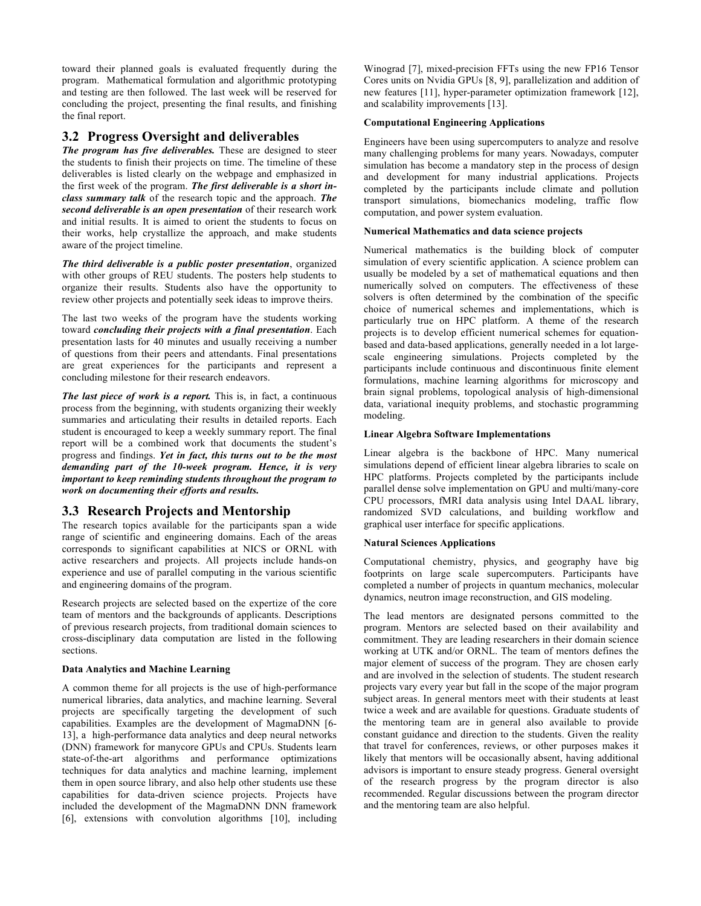toward their planned goals is evaluated frequently during the program. Mathematical formulation and algorithmic prototyping and testing are then followed. The last week will be reserved for concluding the project, presenting the final results, and finishing the final report.

#### **3.2 Progress Oversight and deliverables**

*The program has five deliverables.* These are designed to steer the students to finish their projects on time. The timeline of these deliverables is listed clearly on the webpage and emphasized in the first week of the program. *The first deliverable is a short inclass summary talk* of the research topic and the approach. *The second deliverable is an open presentation* of their research work and initial results. It is aimed to orient the students to focus on their works, help crystallize the approach, and make students aware of the project timeline.

*The third deliverable is a public poster presentation*, organized with other groups of REU students. The posters help students to organize their results. Students also have the opportunity to review other projects and potentially seek ideas to improve theirs.

The last two weeks of the program have the students working toward *concluding their projects with a final presentation*. Each presentation lasts for 40 minutes and usually receiving a number of questions from their peers and attendants. Final presentations are great experiences for the participants and represent a concluding milestone for their research endeavors.

*The last piece of work is a report.* This is, in fact, a continuous process from the beginning, with students organizing their weekly summaries and articulating their results in detailed reports. Each student is encouraged to keep a weekly summary report. The final report will be a combined work that documents the student's progress and findings. *Yet in fact, this turns out to be the most demanding part of the 10-week program. Hence, it is very important to keep reminding students throughout the program to work on documenting their efforts and results.*

## **3.3 Research Projects and Mentorship**

The research topics available for the participants span a wide range of scientific and engineering domains. Each of the areas corresponds to significant capabilities at NICS or ORNL with active researchers and projects. All projects include hands-on experience and use of parallel computing in the various scientific and engineering domains of the program.

Research projects are selected based on the expertize of the core team of mentors and the backgrounds of applicants. Descriptions of previous research projects, from traditional domain sciences to cross-disciplinary data computation are listed in the following sections.

#### **Data Analytics and Machine Learning**

A common theme for all projects is the use of high-performance numerical libraries, data analytics, and machine learning. Several projects are specifically targeting the development of such capabilities. Examples are the development of MagmaDNN [6- 13], a high-performance data analytics and deep neural networks (DNN) framework for manycore GPUs and CPUs. Students learn state-of-the-art algorithms and performance optimizations techniques for data analytics and machine learning, implement them in open source library, and also help other students use these capabilities for data-driven science projects. Projects have included the development of the MagmaDNN DNN framework [6], extensions with convolution algorithms [10], including

Winograd [7], mixed-precision FFTs using the new FP16 Tensor Cores units on Nvidia GPUs [8, 9], parallelization and addition of new features [11], hyper-parameter optimization framework [12], and scalability improvements [13].

#### **Computational Engineering Applications**

Engineers have been using supercomputers to analyze and resolve many challenging problems for many years. Nowadays, computer simulation has become a mandatory step in the process of design and development for many industrial applications. Projects completed by the participants include climate and pollution transport simulations, biomechanics modeling, traffic flow computation, and power system evaluation.

#### **Numerical Mathematics and data science projects**

Numerical mathematics is the building block of computer simulation of every scientific application. A science problem can usually be modeled by a set of mathematical equations and then numerically solved on computers. The effectiveness of these solvers is often determined by the combination of the specific choice of numerical schemes and implementations, which is particularly true on HPC platform. A theme of the research projects is to develop efficient numerical schemes for equationbased and data-based applications, generally needed in a lot largescale engineering simulations. Projects completed by the participants include continuous and discontinuous finite element formulations, machine learning algorithms for microscopy and brain signal problems, topological analysis of high-dimensional data, variational inequity problems, and stochastic programming modeling.

#### **Linear Algebra Software Implementations**

Linear algebra is the backbone of HPC. Many numerical simulations depend of efficient linear algebra libraries to scale on HPC platforms. Projects completed by the participants include parallel dense solve implementation on GPU and multi/many-core CPU processors, fMRI data analysis using Intel DAAL library, randomized SVD calculations, and building workflow and graphical user interface for specific applications.

#### **Natural Sciences Applications**

Computational chemistry, physics, and geography have big footprints on large scale supercomputers. Participants have completed a number of projects in quantum mechanics, molecular dynamics, neutron image reconstruction, and GIS modeling.

The lead mentors are designated persons committed to the program. Mentors are selected based on their availability and commitment. They are leading researchers in their domain science working at UTK and/or ORNL. The team of mentors defines the major element of success of the program. They are chosen early and are involved in the selection of students. The student research projects vary every year but fall in the scope of the major program subject areas. In general mentors meet with their students at least twice a week and are available for questions. Graduate students of the mentoring team are in general also available to provide constant guidance and direction to the students. Given the reality that travel for conferences, reviews, or other purposes makes it likely that mentors will be occasionally absent, having additional advisors is important to ensure steady progress. General oversight of the research progress by the program director is also recommended. Regular discussions between the program director and the mentoring team are also helpful.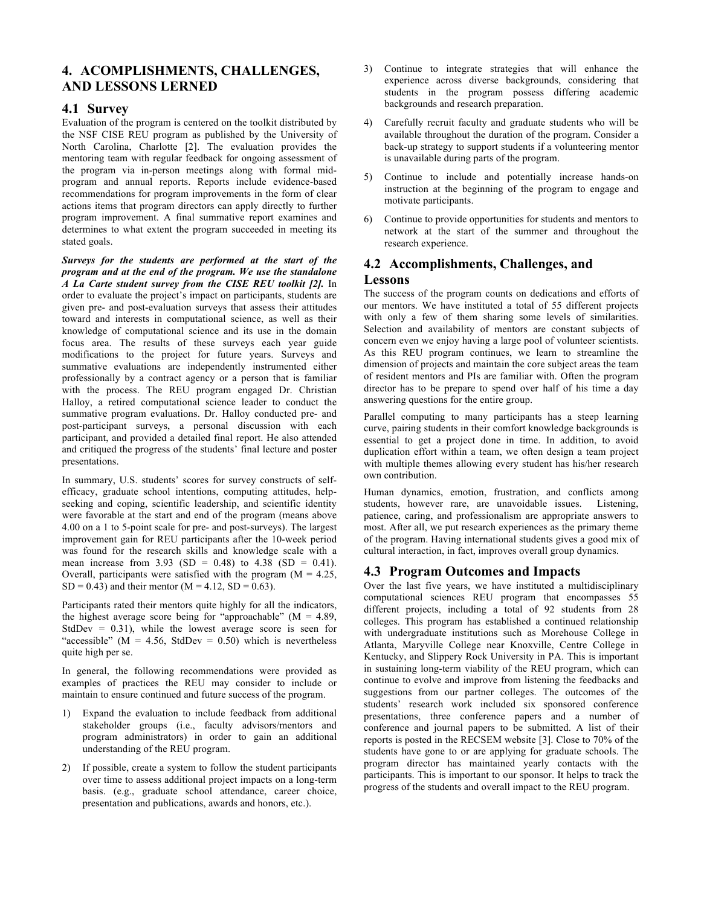# **4. ACOMPLISHMENTS, CHALLENGES, AND LESSONS LERNED**

## **4.1 Survey**

Evaluation of the program is centered on the toolkit distributed by the NSF CISE REU program as published by the University of North Carolina, Charlotte [2]. The evaluation provides the mentoring team with regular feedback for ongoing assessment of the program via in-person meetings along with formal midprogram and annual reports. Reports include evidence-based recommendations for program improvements in the form of clear actions items that program directors can apply directly to further program improvement. A final summative report examines and determines to what extent the program succeeded in meeting its stated goals.

*Surveys for the students are performed at the start of the program and at the end of the program. We use the standalone A La Carte student survey from the CISE REU toolkit [2].* In order to evaluate the project's impact on participants, students are given pre- and post-evaluation surveys that assess their attitudes toward and interests in computational science, as well as their knowledge of computational science and its use in the domain focus area. The results of these surveys each year guide modifications to the project for future years. Surveys and summative evaluations are independently instrumented either professionally by a contract agency or a person that is familiar with the process. The REU program engaged Dr. Christian Halloy, a retired computational science leader to conduct the summative program evaluations. Dr. Halloy conducted pre- and post-participant surveys, a personal discussion with each participant, and provided a detailed final report. He also attended and critiqued the progress of the students' final lecture and poster presentations.

In summary, U.S. students' scores for survey constructs of selfefficacy, graduate school intentions, computing attitudes, helpseeking and coping, scientific leadership, and scientific identity were favorable at the start and end of the program (means above 4.00 on a 1 to 5-point scale for pre- and post-surveys). The largest improvement gain for REU participants after the 10-week period was found for the research skills and knowledge scale with a mean increase from 3.93 (SD = 0.48) to 4.38 (SD = 0.41). Overall, participants were satisfied with the program  $(M = 4.25)$ ,  $SD = 0.43$ ) and their mentor (M = 4.12, SD = 0.63).

Participants rated their mentors quite highly for all the indicators, the highest average score being for "approachable" ( $M = 4.89$ , StdDev =  $0.31$ ), while the lowest average score is seen for "accessible" ( $M = 4.56$ , StdDev = 0.50) which is nevertheless quite high per se.

In general, the following recommendations were provided as examples of practices the REU may consider to include or maintain to ensure continued and future success of the program.

- 1) Expand the evaluation to include feedback from additional stakeholder groups (i.e., faculty advisors/mentors and program administrators) in order to gain an additional understanding of the REU program.
- 2) If possible, create a system to follow the student participants over time to assess additional project impacts on a long-term basis. (e.g., graduate school attendance, career choice, presentation and publications, awards and honors, etc.).
- 3) Continue to integrate strategies that will enhance the experience across diverse backgrounds, considering that students in the program possess differing academic backgrounds and research preparation.
- 4) Carefully recruit faculty and graduate students who will be available throughout the duration of the program. Consider a back-up strategy to support students if a volunteering mentor is unavailable during parts of the program.
- 5) Continue to include and potentially increase hands-on instruction at the beginning of the program to engage and motivate participants.
- 6) Continue to provide opportunities for students and mentors to network at the start of the summer and throughout the research experience.

# **4.2 Accomplishments, Challenges, and Lessons**

The success of the program counts on dedications and efforts of our mentors. We have instituted a total of 55 different projects with only a few of them sharing some levels of similarities. Selection and availability of mentors are constant subjects of concern even we enjoy having a large pool of volunteer scientists. As this REU program continues, we learn to streamline the dimension of projects and maintain the core subject areas the team of resident mentors and PIs are familiar with. Often the program director has to be prepare to spend over half of his time a day answering questions for the entire group.

Parallel computing to many participants has a steep learning curve, pairing students in their comfort knowledge backgrounds is essential to get a project done in time. In addition, to avoid duplication effort within a team, we often design a team project with multiple themes allowing every student has his/her research own contribution.

Human dynamics, emotion, frustration, and conflicts among students, however rare, are unavoidable issues. Listening, patience, caring, and professionalism are appropriate answers to most. After all, we put research experiences as the primary theme of the program. Having international students gives a good mix of cultural interaction, in fact, improves overall group dynamics.

## **4.3 Program Outcomes and Impacts**

Over the last five years, we have instituted a multidisciplinary computational sciences REU program that encompasses 55 different projects, including a total of 92 students from 28 colleges. This program has established a continued relationship with undergraduate institutions such as Morehouse College in Atlanta, Maryville College near Knoxville, Centre College in Kentucky, and Slippery Rock University in PA. This is important in sustaining long-term viability of the REU program, which can continue to evolve and improve from listening the feedbacks and suggestions from our partner colleges. The outcomes of the students' research work included six sponsored conference presentations, three conference papers and a number of conference and journal papers to be submitted. A list of their reports is posted in the RECSEM website [3]. Close to 70% of the students have gone to or are applying for graduate schools. The program director has maintained yearly contacts with the participants. This is important to our sponsor. It helps to track the progress of the students and overall impact to the REU program.